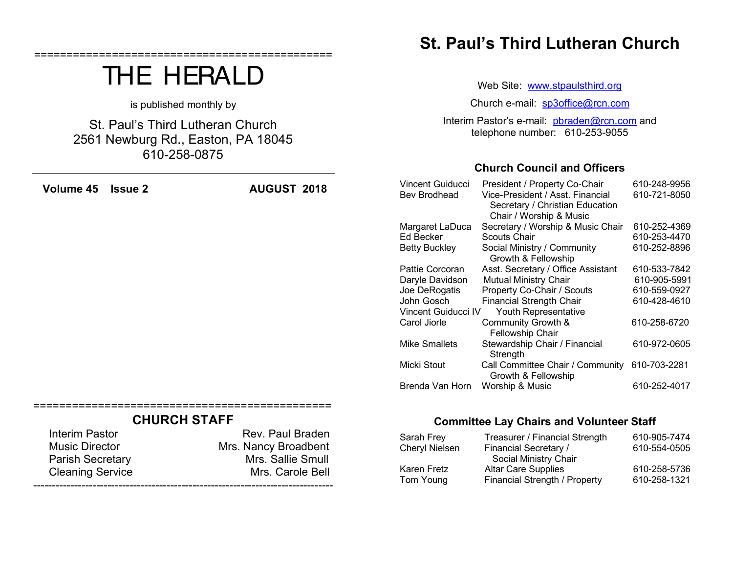|                                                                                        | is published monthly by |                                                               | Church e-mail: sp3office@rcn.com                                               |                                                                                                                                 |                                              |  |
|----------------------------------------------------------------------------------------|-------------------------|---------------------------------------------------------------|--------------------------------------------------------------------------------|---------------------------------------------------------------------------------------------------------------------------------|----------------------------------------------|--|
| St. Paul's Third Lutheran Church<br>2561 Newburg Rd., Easton, PA 18045<br>610-258-0875 |                         |                                                               | Interim Pastor's e-mail: pbraden@rcn.com and<br>telephone number: 610-253-9055 |                                                                                                                                 |                                              |  |
|                                                                                        |                         |                                                               |                                                                                | <b>Church Council and Officers</b>                                                                                              |                                              |  |
| Volume 45                                                                              | <b>Issue 2</b>          | <b>AUGUST 2018</b>                                            | Vincent Guiducci<br>Bev Brodhead                                               | President / Property Co-Chair<br>Vice-President / Asst. Financial<br>Secretary / Christian Education<br>Chair / Worship & Music | 610-248-9956<br>610-721-8050                 |  |
|                                                                                        |                         |                                                               | Margaret LaDuca<br>Ed Becker<br><b>Betty Buckley</b>                           | Secretary / Worship & Music Chair<br>Scouts Chair<br>Social Ministry / Community                                                | 610-252-4369<br>610-253-4470<br>610-252-8896 |  |
|                                                                                        |                         |                                                               |                                                                                | Growth & Fellowship                                                                                                             |                                              |  |
|                                                                                        |                         |                                                               | Pattie Corcoran<br>Daryle Davidson                                             | Asst. Secretary / Office Assistant<br><b>Mutual Ministry Chair</b>                                                              | 610-533-7842<br>610-905-5991                 |  |
|                                                                                        |                         |                                                               | Joe DeRogatis<br>John Gosch<br>Vincent Guiducci IV                             | Property Co-Chair / Scouts<br><b>Financial Strength Chair</b><br>Youth Representative                                           | 610-559-0927<br>610-428-4610                 |  |
|                                                                                        |                         |                                                               | Carol Jiorle                                                                   | Community Growth &<br>Fellowship Chair                                                                                          | 610-258-6720                                 |  |
|                                                                                        |                         |                                                               | <b>Mike Smallets</b>                                                           | Stewardship Chair / Financial<br>Strength                                                                                       | 610-972-0605                                 |  |
|                                                                                        |                         |                                                               | <b>Micki Stout</b>                                                             | Call Committee Chair / Community<br>Growth & Fellowship                                                                         | 610-703-2281                                 |  |
|                                                                                        |                         |                                                               | Brenda Van Horn                                                                | Worship & Music                                                                                                                 | 610-252-4017                                 |  |
|                                                                                        | <b>CHURCH STAFF</b>     |                                                               |                                                                                | <b>Committee Lay Chairs and Volunteer Staff</b>                                                                                 |                                              |  |
| <b>Interim Pastor</b><br><b>Music Director</b><br><b>Parish Secretary</b>              |                         | Rev. Paul Braden<br>Mrs. Nancy Broadbent<br>Mrs. Sallie Smull | Sarah Frey<br><b>Cheryl Nielsen</b>                                            | Treasurer / Financial Strength<br><b>Financial Secretary /</b><br>Social Ministry Chair                                         | 610-905-7474<br>610-554-0505                 |  |

**St. Paul's Third Lutheran Church**

Web Site: www.stpaulsthird.org

Karen Fretz Altar Care Supplies 610-258-5736<br>Tom Young Financial Strength / Property 610-258-1321 Financial Strength / Property

==============================================

THE HERALD

Parish Secretary **Mrs.** Sallie Smull<br>Cleaning Service **Mrs.** Mrs. Carole Bell

---------------------------------------------------------------------------------

Cleaning Service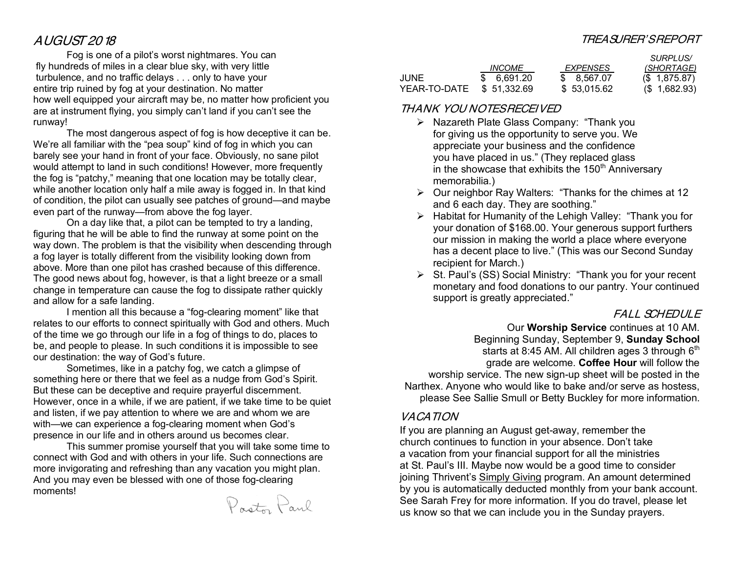### AUGUST 2018

Fog is one of a pilot's worst nightmares. You can fly hundreds of miles in a clear blue sky, with very little turbulence, and no traffic delays . . . only to have your entire trip ruined by fog at your destination. No matter how well equipped your aircraft may be, no matter how proficient you are at instrument flying, you simply can't land if you can't see the runway!

The most dangerous aspect of fog is how deceptive it can be. We're all familiar with the "pea soup" kind of fog in which you can barely see your hand in front of your face. Obviously, no sane pilot would attempt to land in such conditions! However, more frequently the fog is "patchy," meaning that one location may be totally clear, while another location only half a mile away is fogged in. In that kind of condition, the pilot can usually see patches of ground—and maybe even part of the runway—from above the fog layer.

On a day like that, a pilot can be tempted to try a landing, figuring that he will be able to find the runway at some point on the way down. The problem is that the visibility when descending through a fog layer is totally different from the visibility looking down from above. More than one pilot has crashed because of this difference. The good news about fog, however, is that a light breeze or a small change in temperature can cause the fog to dissipate rather quickly and allow for a safe landing.

I mention all this because a "fog-clearing moment" like that relates to our efforts to connect spiritually with God and others. Much of the time we go through our life in a fog of things to do, places to be, and people to please. In such conditions it is impossible to see our destination: the way of God's future.

Sometimes, like in a patchy fog, we catch a glimpse of something here or there that we feel as a nudge from God's Spirit. But these can be deceptive and require prayerful discernment. However, once in a while, if we are patient, if we take time to be quiet and listen, if we pay attention to where we are and whom we are with—we can experience a fog-clearing moment when God's presence in our life and in others around us becomes clear.

This summer promise yourself that you will take some time to connect with God and with others in your life. Such connections are more invigorating and refreshing than any vacation you might plan. And you may even be blessed with one of those fog-clearing moments!

Posts Paul

### TREASURER'S REPORT

*SURPLUS/*

|              |                      |                 | <i>SURPLUS</i> / |
|--------------|----------------------|-----------------|------------------|
|              | <i><b>INCOME</b></i> | <b>EXPENSES</b> | (SHORTAGE)       |
| JUNE         | \$ 6.691.20          | \$ 8.567.07     | $(S$ 1,875.87)   |
| YEAR-TO-DATE | \$51.332.69          | \$ 53,015.62    | $(S$ 1,682.93)   |

### THANK YOU NOTES RECEIVED

- Ø Nazareth Plate Glass Company: "Thank you for giving us the opportunity to serve you. We appreciate your business and the confidence you have placed in us." (They replaced glass in the showcase that exhibits the 150<sup>th</sup> Anniversary memorabilia.)
- Ø Our neighbor Ray Walters: "Thanks for the chimes at 12 and 6 each day. They are soothing."
- $\triangleright$  Habitat for Humanity of the Lehigh Valley: "Thank you for your donation of \$168.00. Your generous support furthers our mission in making the world a place where everyone has a decent place to live." (This was our Second Sunday recipient for March.)
- Ø St. Paul's (SS) Social Ministry: "Thank you for your recent monetary and food donations to our pantry. Your continued support is greatly appreciated."

### FALL SCHEDULE

Our **Worship Service** continues at 10 AM. Beginning Sunday, September 9, **Sunday School** starts at 8:45 AM. All children ages 3 through  $6<sup>th</sup>$ grade are welcome. **Coffee Hour** will follow the worship service. The new sign-up sheet will be posted in the Narthex. Anyone who would like to bake and/or serve as hostess, please See Sallie Smull or Betty Buckley for more information.

### VACATION

If you are planning an August get-away, remember the church continues to function in your absence. Don't take a vacation from your financial support for all the ministries at St. Paul's III. Maybe now would be a good time to consider joining Thrivent's Simply Giving program. An amount determined by you is automatically deducted monthly from your bank account. See Sarah Frey for more information. If you do travel, please let us know so that we can include you in the Sunday prayers.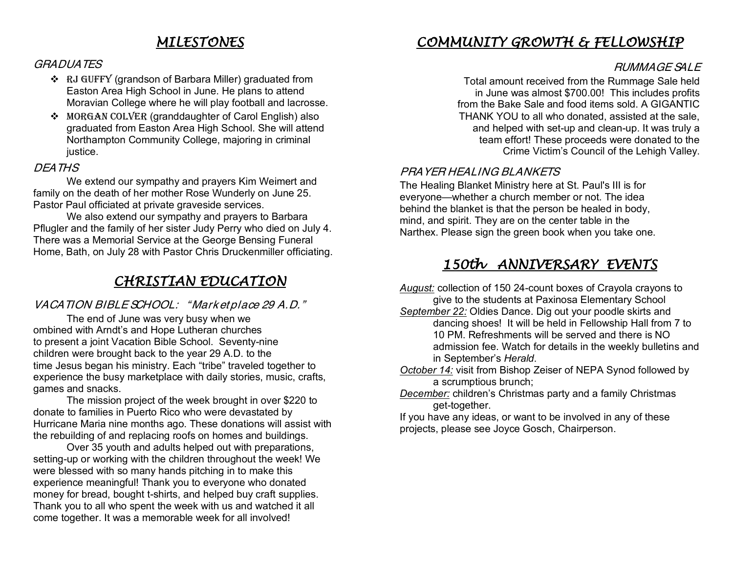### *MILESTONES*

#### GRADUATES

- v RJ GUFFY (grandson of Barbara Miller) graduated from Easton Area High School in June. He plans to attend Moravian College where he will play football and lacrosse.
- v MORGAN COLVER (granddaughter of Carol English) also graduated from Easton Area High School. She will attend Northampton Community College, majoring in criminal justice.

### DEATHS

We extend our sympathy and prayers Kim Weimert and family on the death of her mother Rose Wunderly on June 25. Pastor Paul officiated at private graveside services.

We also extend our sympathy and prayers to Barbara Pflugler and the family of her sister Judy Perry who died on July 4. There was a Memorial Service at the George Bensing Funeral Home, Bath, on July 28 with Pastor Chris Druckenmiller officiating.

## *CHRISTIAN EDUCATION*

### VACATION BIBLE SCHOOL: " Mark et place 29 A.D."

The end of June was very busy when we ombined with Arndt's and Hope Lutheran churches to present a joint Vacation Bible School. Seventy-nine children were brought back to the year 29 A.D. to the time Jesus began his ministry. Each "tribe" traveled together to experience the busy marketplace with daily stories, music, crafts, games and snacks.

The mission project of the week brought in over \$220 to donate to families in Puerto Rico who were devastated by Hurricane Maria nine months ago. These donations will assist with the rebuilding of and replacing roofs on homes and buildings.

Over 35 youth and adults helped out with preparations, setting-up or working with the children throughout the week! We were blessed with so many hands pitching in to make this experience meaningful! Thank you to everyone who donated money for bread, bought t-shirts, and helped buy craft supplies. Thank you to all who spent the week with us and watched it all come together. It was a memorable week for all involved!

## *COMMUNITY GROWTH & FELLOWSHIP*

### RUMMAGE SALE

Total amount received from the Rummage Sale held in June was almost \$700.00! This includes profits from the Bake Sale and food items sold. A GIGANTIC THANK YOU to all who donated, assisted at the sale, and helped with set-up and clean-up. It was truly a team effort! These proceeds were donated to the Crime Victim's Council of the Lehigh Valley.

### PRAYER HEALING BLANKETS

The Healing Blanket Ministry here at St. Paul's III is for everyone—whether a church member or not. The idea behind the blanket is that the person be healed in body, mind, and spirit. They are on the center table in the Narthex. Please sign the green book when you take one.

## *150th ANNIVERSARY EVENTS*

*August:* collection of 150 24-count boxes of Crayola crayons to give to the students at Paxinosa Elementary School

*September 22:* Oldies Dance. Dig out your poodle skirts and dancing shoes! It will be held in Fellowship Hall from 7 to 10 PM. Refreshments will be served and there is NO admission fee. Watch for details in the weekly bulletins and in September's *Herald*.

- *October 14:* visit from Bishop Zeiser of NEPA Synod followed by a scrumptious brunch;
- *December:* children's Christmas party and a family Christmas get-together.

If you have any ideas, or want to be involved in any of these projects, please see Joyce Gosch, Chairperson.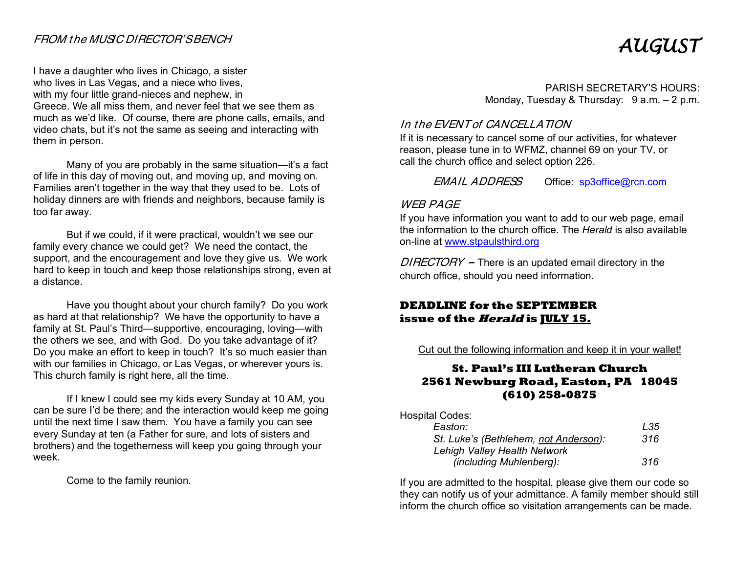### FROM t he MUSIC DIRECTOR'SBENCH

I have a daughter who lives in Chicago, a sister who lives in Las Vegas, and a niece who lives, with my four little grand-nieces and nephew, in Greece. We all miss them, and never feel that we see them as much as we'd like. Of course, there are phone calls, emails, and video chats, but it's not the same as seeing and interacting with them in person.

Many of you are probably in the same situation—it's a fact of life in this day of moving out, and moving up, and moving on. Families aren't together in the way that they used to be. Lots of holiday dinners are with friends and neighbors, because family is too far away.

But if we could, if it were practical, wouldn't we see our family every chance we could get? We need the contact, the support, and the encouragement and love they give us. We work hard to keep in touch and keep those relationships strong, even at a distance.

Have you thought about your church family? Do you work as hard at that relationship? We have the opportunity to have a family at St. Paul's Third—supportive, encouraging, loving—with the others we see, and with God. Do you take advantage of it? Do you make an effort to keep in touch? It's so much easier than with our families in Chicago, or Las Vegas, or wherever yours is. This church family is right here, all the time.

If I knew I could see my kids every Sunday at 10 AM, you can be sure I'd be there; and the interaction would keep me going until the next time I saw them. You have a family you can see every Sunday at ten (a Father for sure, and lots of sisters and brothers) and the togetherness will keep you going through your week.

Come to the family reunion.

# *AUGUST*

PARISH SECRETARY'S HOURS: Monday, Tuesday & Thursday: 9 a.m. - 2 p.m.

### In the EVENT of CANCELLATION

If it is necessary to cancel some of our activities, for whatever reason, please tune in to WFMZ, channel 69 on your TV, or call the church office and select option 226.

EMAIL ADDRESS Office: sp3office@rcn.com

### WFR PAGF

If you have information you want to add to our web page, email the information to the church office. The *Herald* is also available on-line at www.stpaulsthird.org

 $DIRECTORY -$  There is an updated email directory in the church office, should you need information.

### **DEADLINE for the SEPTEMBER issue of the Herald is JULY 15.**

Cut out the following information and keep it in your wallet!

### **St. Paul's III Lutheran Church 2561 Newburg Road, Easton, PA 18045 (610) 258-0875**

| <b>Hospital Codes:</b>                |     |
|---------------------------------------|-----|
| Easton:                               | L35 |
| St. Luke's (Bethlehem, not Anderson): | 316 |
| Lehigh Valley Health Network          |     |
| (including Muhlenberg):               | 316 |

If you are admitted to the hospital, please give them our code so they can notify us of your admittance. A family member should still inform the church office so visitation arrangements can be made.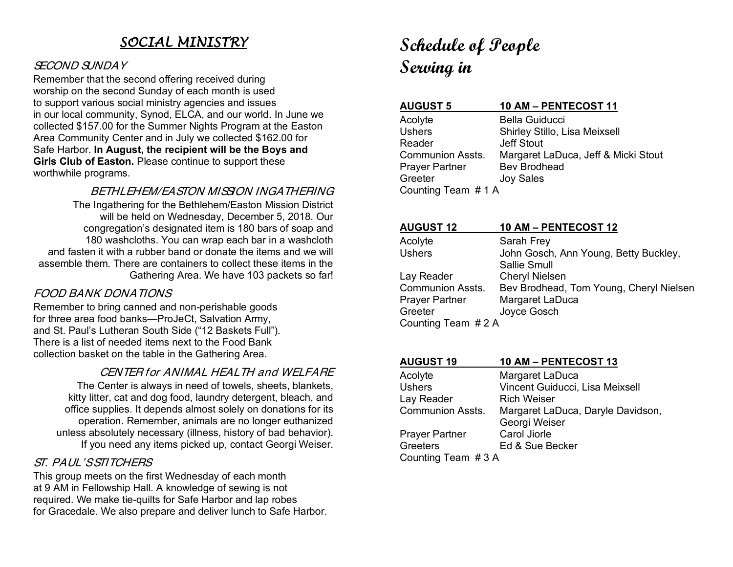## *SOCIAL MINISTRY*

### SECOND SUNDAY

Remember that the second offering received during worship on the second Sunday of each month is used to support various social ministry agencies and issues in our local community, Synod, ELCA, and our world. In June we collected \$157.00 for the Summer Nights Program at the Easton Area Community Center and in July we collected \$162.00 for Safe Harbor. **In August, the recipient will be the Boys and Girls Club of Easton.** Please continue to support these worthwhile programs.

BETHI FHEM/FASTON MISSION INGATHERING

The Ingathering for the Bethlehem/Easton Mission District will be held on Wednesday, December 5, 2018. Our congregation's designated item is 180 bars of soap and 180 washcloths. You can wrap each bar in a washcloth and fasten it with a rubber band or donate the items and we will assemble them. There are containers to collect these items in the Gathering Area. We have 103 packets so far!

### FOOD BANK DONATIONS

Remember to bring canned and non-perishable goods for three area food banks—ProJeCt, Salvation Army, and St. Paul's Lutheran South Side ("12 Baskets Full"). There is a list of needed items next to the Food Bank collection basket on the table in the Gathering Area.

### CENTER for ANIMAL HEALTH and WELFARE

The Center is always in need of towels, sheets, blankets, kitty litter, cat and dog food, laundry detergent, bleach, and office supplies. It depends almost solely on donations for its operation. Remember, animals are no longer euthanized unless absolutely necessary (illness, history of bad behavior). If you need any items picked up, contact Georgi Weiser.

### ST. PAUL'S STITCHERS

This group meets on the first Wednesday of each month at 9 AM in Fellowship Hall. A knowledge of sewing is not required. We make tie-quilts for Safe Harbor and lap robes for Gracedale. We also prepare and deliver lunch to Safe Harbor.

## **Schedule of People Serving in**

| <b>AUGUST 5</b>         | 10 AM - PENTECOST 11                |
|-------------------------|-------------------------------------|
| Acolyte                 | <b>Bella Guiducci</b>               |
| <b>Ushers</b>           | Shirley Stillo, Lisa Meixsell       |
| Reader                  | <b>Jeff Stout</b>                   |
| <b>Communion Assts.</b> | Margaret LaDuca, Jeff & Micki Stout |
| <b>Prayer Partner</b>   | Bev Brodhead                        |
| Greeter                 | <b>Joy Sales</b>                    |
| Counting Team #1 A      |                                     |

| <b>AUGUST 12</b>      | 10 AM - PENTECOST 12                    |
|-----------------------|-----------------------------------------|
| Acolyte               | Sarah Frey                              |
| <b>Ushers</b>         | John Gosch, Ann Young, Betty Buckley,   |
|                       | Sallie Smull                            |
| Lay Reader            | <b>Cheryl Nielsen</b>                   |
| Communion Assts.      | Bev Brodhead, Tom Young, Cheryl Nielsen |
| <b>Prayer Partner</b> | Margaret LaDuca                         |
| Greeter               | Joyce Gosch                             |
| Counting Team #2 A    |                                         |
|                       |                                         |

| <b>AUGUST 19</b>        | 10 AM - PENTECOST 13                               |  |
|-------------------------|----------------------------------------------------|--|
| Acolyte                 | Margaret LaDuca                                    |  |
| <b>Ushers</b>           | Vincent Guiducci, Lisa Meixsell                    |  |
| Lay Reader              | <b>Rich Weiser</b>                                 |  |
| <b>Communion Assts.</b> | Margaret LaDuca, Daryle Davidson,<br>Georgi Weiser |  |
| <b>Prayer Partner</b>   | Carol Jiorle                                       |  |
| Greeters                | Ed & Sue Becker                                    |  |
| Counting Team #3 A      |                                                    |  |